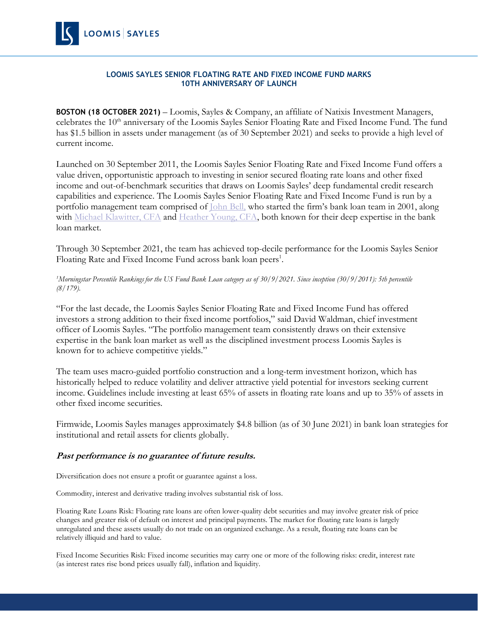

## **LOOMIS SAYLES SENIOR FLOATING RATE AND FIXED INCOME FUND MARKS 10TH ANNIVERSARY OF LAUNCH**

**BOSTON (18 OCTOBER 2021)** – Loomis, Sayles & Company, an affiliate of Natixis Investment Managers, celebrates the 10<sup>th</sup> anniversary of the Loomis Sayles Senior Floating Rate and Fixed Income Fund. The fund has \$1.5 billion in assets under management (as of 30 September 2021) and seeks to provide a high level of current income.

Launched on 30 September 2011, the Loomis Sayles Senior Floating Rate and Fixed Income Fund offers a value driven, opportunistic approach to investing in senior secured floating rate loans and other fixed income and out-of-benchmark securities that draws on Loomis Sayles' deep fundamental credit research capabilities and experience. The Loomis Sayles Senior Floating Rate and Fixed Income Fund is run by a portfolio management team comprised of *John Bell*, who started the firm's bank loan team in 2001, along with [Michael Klawitter, CFA](https://www.loomissayles.com/internet/internetdata.nsf/(BiosByAlias)/Michael%20Klawitter/$FILE/MichaelKlawitter.pdf) and [Heather Young, CFA,](https://www.loomissayles.com/internet/internetdata.nsf/(BiosByAlias)/Heather%20Young/$FILE/HeatherYoung.pdf) both known for their deep expertise in the bank loan market.

Through 30 September 2021, the team has achieved top-decile performance for the Loomis Sayles Senior Floating Rate and Fixed Income Fund across bank loan peers<sup>1</sup>.

## *<sup>1</sup>Morningstar Percentile Rankings for the US Fund Bank Loan category as of 30/9/2021. Since inception (30/9/2011): 5th percentile (8/179).*

"For the last decade, the Loomis Sayles Senior Floating Rate and Fixed Income Fund has offered investors a strong addition to their fixed income portfolios," said David Waldman, chief investment officer of Loomis Sayles. "The portfolio management team consistently draws on their extensive expertise in the bank loan market as well as the disciplined investment process Loomis Sayles is known for to achieve competitive yields."

The team uses macro-guided portfolio construction and a long-term investment horizon, which has historically helped to reduce volatility and deliver attractive yield potential for investors seeking current income. Guidelines include investing at least 65% of assets in floating rate loans and up to 35% of assets in other fixed income securities.

Firmwide, Loomis Sayles manages approximately \$4.8 billion (as of 30 June 2021) in bank loan strategies for institutional and retail assets for clients globally.

# **Past performance is no guarantee of future results.**

Diversification does not ensure a profit or guarantee against a loss.

Commodity, interest and derivative trading involves substantial risk of loss.

Floating Rate Loans Risk: Floating rate loans are often lower-quality debt securities and may involve greater risk of price changes and greater risk of default on interest and principal payments. The market for floating rate loans is largely unregulated and these assets usually do not trade on an organized exchange. As a result, floating rate loans can be relatively illiquid and hard to value.

Fixed Income Securities Risk: Fixed income securities may carry one or more of the following risks: credit, interest rate (as interest rates rise bond prices usually fall), inflation and liquidity.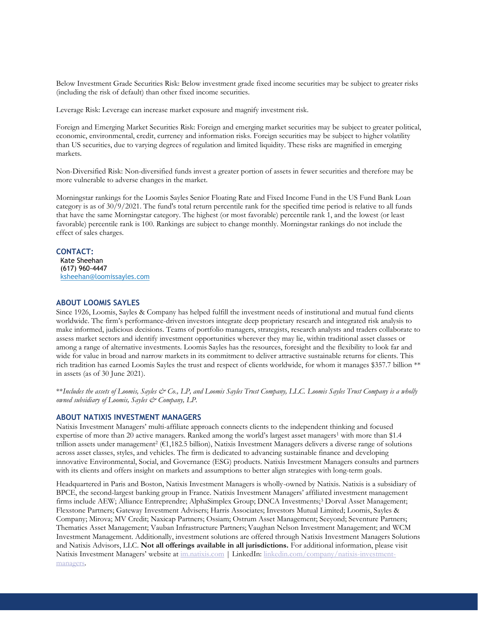Below Investment Grade Securities Risk: Below investment grade fixed income securities may be subject to greater risks (including the risk of default) than other fixed income securities.

Leverage Risk: Leverage can increase market exposure and magnify investment risk.

Foreign and Emerging Market Securities Risk: Foreign and emerging market securities may be subject to greater political, economic, environmental, credit, currency and information risks. Foreign securities may be subject to higher volatility than US securities, due to varying degrees of regulation and limited liquidity. These risks are magnified in emerging markets.

Non-Diversified Risk: Non-diversified funds invest a greater portion of assets in fewer securities and therefore may be more vulnerable to adverse changes in the market.

Morningstar rankings for the Loomis Sayles Senior Floating Rate and Fixed Income Fund in the US Fund Bank Loan category is as of 30/9/2021. The fund's total return percentile rank for the specified time period is relative to all funds that have the same Morningstar category. The highest (or most favorable) percentile rank 1, and the lowest (or least favorable) percentile rank is 100. Rankings are subject to change monthly. Morningstar rankings do not include the effect of sales charges.

#### **CONTACT:**

Kate Sheehan (617) 960-4447 [ksheehan@loomissayles.com](mailto:ksheehan@loomissayles.com)

#### **ABOUT LOOMIS SAYLES**

Since 1926, Loomis, Sayles & Company has helped fulfill the investment needs of institutional and mutual fund clients worldwide. The firm's performance-driven investors integrate deep proprietary research and integrated risk analysis to make informed, judicious decisions. Teams of portfolio managers, strategists, research analysts and traders collaborate to assess market sectors and identify investment opportunities wherever they may lie, within traditional asset classes or among a range of alternative investments. Loomis Sayles has the resources, foresight and the flexibility to look far and wide for value in broad and narrow markets in its commitment to deliver attractive sustainable returns for clients. This rich tradition has earned Loomis Sayles the trust and respect of clients worldwide, for whom it manages \$357.7 billion \*\* in assets (as of 30 June 2021).

\*\*Includes the assets of Loomis, Sayles & Co., LP, and Loomis Sayles Trust Company, LLC. Loomis Sayles Trust Company is a wholly *owned subsidiary of Loomis, Sayles & Company, LP.*

### **ABOUT NATIXIS INVESTMENT MANAGERS**

Natixis Investment Managers' multi-affiliate approach connects clients to the independent thinking and focused expertise of more than 20 active managers. Ranked among the world's largest asset managers<sup>1</sup> with more than \$1.4 trillion assets under management<sup>2</sup> (€1,182.5 billion), Natixis Investment Managers delivers a diverse range of solutions across asset classes, styles, and vehicles. The firm is dedicated to advancing sustainable finance and developing innovative Environmental, Social, and Governance (ESG) products. Natixis Investment Managers consults and partners with its clients and offers insight on markets and assumptions to better align strategies with long-term goals.

Headquartered in Paris and Boston, Natixis Investment Managers is wholly-owned by Natixis. Natixis is a subsidiary of BPCE, the second-largest banking group in France. Natixis Investment Managers' affiliated investment management firms include AEW; Alliance Entreprendre; AlphaSimplex Group; DNCA Investments;<sup>3</sup> Dorval Asset Management; Flexstone Partners; Gateway Investment Advisers; Harris Associates; Investors Mutual Limited; Loomis, Sayles & Company; Mirova; MV Credit; Naxicap Partners; Ossiam; Ostrum Asset Management; Seeyond; Seventure Partners; Thematics Asset Management; Vauban Infrastructure Partners; Vaughan Nelson Investment Management; and WCM Investment Management. Additionally, investment solutions are offered through Natixis Investment Managers Solutions and Natixis Advisors, LLC. **Not all offerings available in all jurisdictions.** For additional information, please visit Natixis Investment Managers' website at [im.natixis.com](https://urldefense.com/v3/__http:/www.im.natixis.com/us/home__;!!NEED45wOP8zW!xwuTMspQGjqYCjPhUBw8L_JjLicfqB-pLOYDX-strqSaGl9Xyl9bzhfC6xmz5uIHPQ$) | LinkedIn: [linkedin.com/company/natixis-investment](https://urldefense.com/v3/__https:/www.linkedin.com/company/natixis-investment-managers/__;!!NEED45wOP8zW!xwuTMspQGjqYCjPhUBw8L_JjLicfqB-pLOYDX-strqSaGl9Xyl9bzhfC6xldlPTkgw$)[managers.](https://urldefense.com/v3/__https:/www.linkedin.com/company/natixis-investment-managers/__;!!NEED45wOP8zW!xwuTMspQGjqYCjPhUBw8L_JjLicfqB-pLOYDX-strqSaGl9Xyl9bzhfC6xldlPTkgw$)